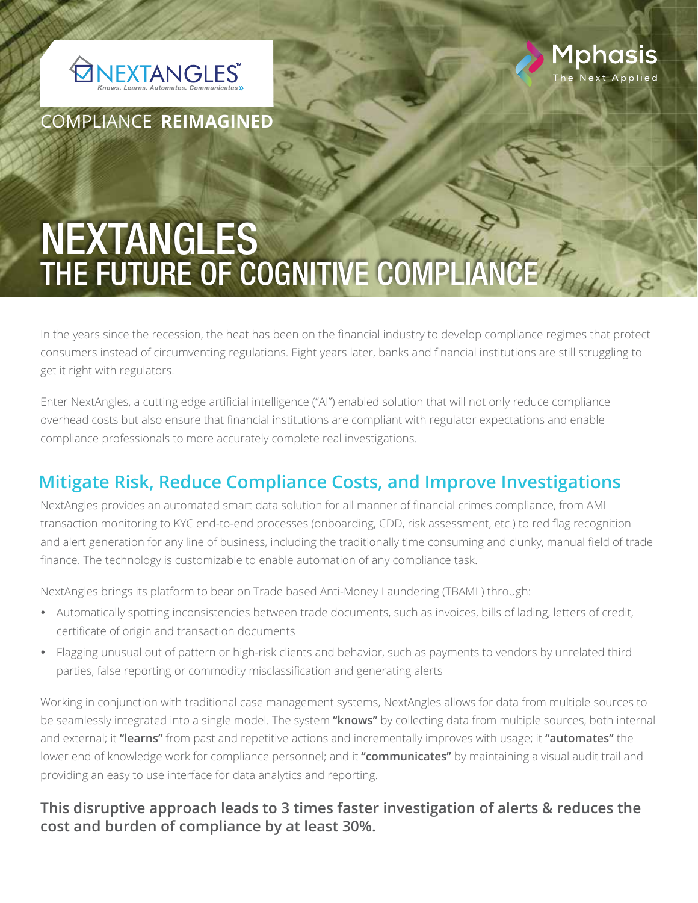



COMPLIANCE **REIMAGINED**

# NEXTANGLES THE FUTURE OF COGNITIVE COMPLIANCE

In the years since the recession, the heat has been on the financial industry to develop compliance regimes that protect consumers instead of circumventing regulations. Eight years later, banks and financial institutions are still struggling to get it right with regulators.

Enter NextAngles, a cutting edge artificial intelligence ("AI") enabled solution that will not only reduce compliance overhead costs but also ensure that financial institutions are compliant with regulator expectations and enable compliance professionals to more accurately complete real investigations.

## **Mitigate Risk, Reduce Compliance Costs, and Improve Investigations**

NextAngles provides an automated smart data solution for all manner of financial crimes compliance, from AML transaction monitoring to KYC end-to-end processes (onboarding, CDD, risk assessment, etc.) to red flag recognition and alert generation for any line of business, including the traditionally time consuming and clunky, manual field of trade finance. The technology is customizable to enable automation of any compliance task.

NextAngles brings its platform to bear on Trade based Anti-Money Laundering (TBAML) through:

- Automatically spotting inconsistencies between trade documents, such as invoices, bills of lading, letters of credit, certificate of origin and transaction documents
- Flagging unusual out of pattern or high-risk clients and behavior, such as payments to vendors by unrelated third parties, false reporting or commodity misclassification and generating alerts

Working in conjunction with traditional case management systems, NextAngles allows for data from multiple sources to be seamlessly integrated into a single model. The system **"knows"** by collecting data from multiple sources, both internal and external; it **"learns"** from past and repetitive actions and incrementally improves with usage; it **"automates"** the lower end of knowledge work for compliance personnel; and it **"communicates"** by maintaining a visual audit trail and providing an easy to use interface for data analytics and reporting.

#### **This disruptive approach leads to 3 times faster investigation of alerts & reduces the cost and burden of compliance by at least 30%.**